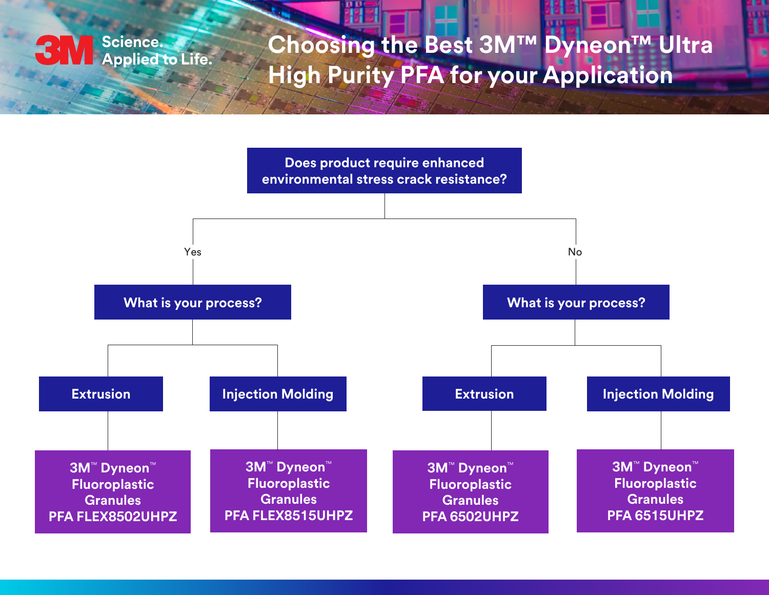

## **Choosing the Best 3M™ Dyneon™ Ultra High Purity PFA for your Application**